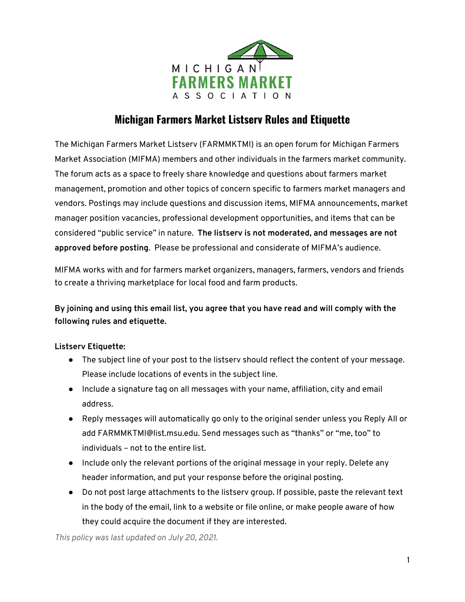

# **Michigan Farmers Market Listserv Rules and Etiquette**

The Michigan Farmers Market Listserv (FARMMKTMI) is an open forum for Michigan Farmers Market Association (MIFMA) members and other individuals in the farmers market community. The forum acts as a space to freely share knowledge and questions about farmers market management, promotion and other topics of concern specific to farmers market managers and vendors. Postings may include questions and discussion items, MIFMA announcements, market manager position vacancies, professional development opportunities, and items that can be considered "public service" in nature. **The listserv is not moderated, and messages are not approved before posting**. Please be professional and considerate of MIFMA's audience.

MIFMA works with and for farmers market organizers, managers, farmers, vendors and friends to create a thriving marketplace for local food and farm products.

**By joining and using this email list, you agree that you have read and will comply with the following rules and etiquette.**

#### **Listserv Etiquette:**

- The subject line of your post to the listserv should reflect the content of your message. Please include locations of events in the subject line.
- Include a signature tag on all messages with your name, affiliation, city and email address.
- Reply messages will automatically go only to the original sender unless you Reply All or add FARMMKTMI@list.msu.edu. Send messages such as "thanks" or "me, too" to individuals – not to the entire list.
- Include only the relevant portions of the original message in your reply. Delete any header information, and put your response before the original posting.
- Do not post large attachments to the listserv group. If possible, paste the relevant text in the body of the email, link to a website or file online, or make people aware of how they could acquire the document if they are interested.

*This policy was last updated on July 20, 2021.*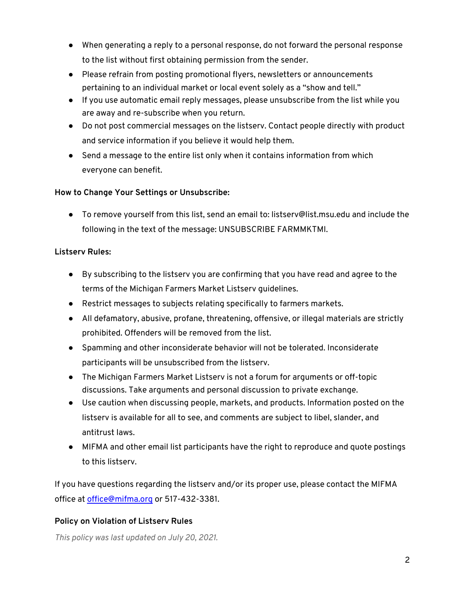- When generating a reply to a personal response, do not forward the personal response to the list without first obtaining permission from the sender.
- Please refrain from posting promotional flyers, newsletters or announcements pertaining to an individual market or local event solely as a "show and tell."
- If you use automatic email reply messages, please unsubscribe from the list while you are away and re-subscribe when you return.
- Do not post commercial messages on the listserv. Contact people directly with product and service information if you believe it would help them.
- Send a message to the entire list only when it contains information from which everyone can benefit.

### **How to Change Your Settings or Unsubscribe:**

● To remove yourself from this list, send an email to: listserv@list.msu.edu and include the following in the text of the message: UNSUBSCRIBE FARMMKTMI.

### **Listserv Rules:**

- By subscribing to the listserv you are confirming that you have read and agree to the terms of the Michigan Farmers Market Listserv guidelines.
- Restrict messages to subjects relating specifically to farmers markets.
- All defamatory, abusive, profane, threatening, offensive, or illegal materials are strictly prohibited. Offenders will be removed from the list.
- Spamming and other inconsiderate behavior will not be tolerated. Inconsiderate participants will be unsubscribed from the listserv.
- The Michigan Farmers Market Listserv is not a forum for arguments or off-topic discussions. Take arguments and personal discussion to private exchange.
- Use caution when discussing people, markets, and products. Information posted on the listserv is available for all to see, and comments are subject to libel, slander, and antitrust laws.
- MIFMA and other email list participants have the right to reproduce and quote postings to this listserv.

If you have questions regarding the listserv and/or its proper use, please contact the MIFMA office at office@mifma.org or 517-432-3381.

## **Policy on Violation of Listserv Rules**

*This policy was last updated on July 20, 2021.*